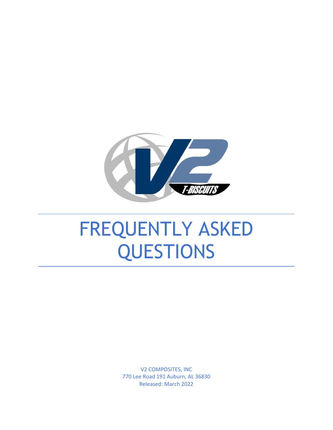

## FREQUENTLY ASKED QUESTIONS

V2 COMPOSITES, INC 770 Lee Road 191 Auburn, AL 36830 Released: March 2022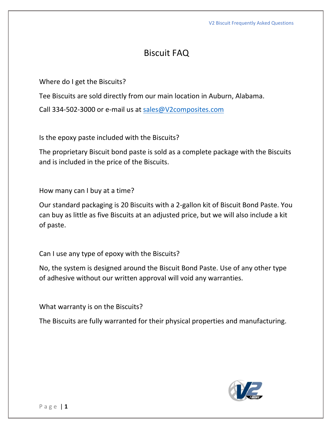## Biscuit FAQ

Where do I get the Biscuits?

Tee Biscuits are sold directly from our main location in Auburn, Alabama.

Call 334-502-3000 or e-mail us at [sales@V2composites.com](mailto:sales@V2composites.com)

Is the epoxy paste included with the Biscuits?

The proprietary Biscuit bond paste is sold as a complete package with the Biscuits and is included in the price of the Biscuits.

How many can I buy at a time?

Our standard packaging is 20 Biscuits with a 2-gallon kit of Biscuit Bond Paste. You can buy as little as five Biscuits at an adjusted price, but we will also include a kit of paste.

Can I use any type of epoxy with the Biscuits?

No, the system is designed around the Biscuit Bond Paste. Use of any other type of adhesive without our written approval will void any warranties.

What warranty is on the Biscuits?

The Biscuits are fully warranted for their physical properties and manufacturing.

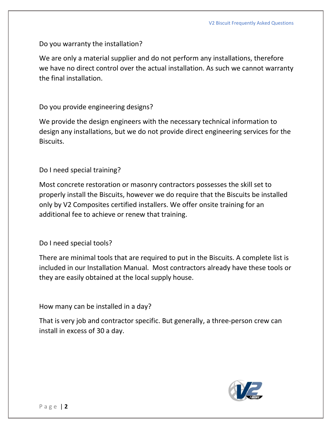Do you warranty the installation?

We are only a material supplier and do not perform any installations, therefore we have no direct control over the actual installation. As such we cannot warranty the final installation.

Do you provide engineering designs?

We provide the design engineers with the necessary technical information to design any installations, but we do not provide direct engineering services for the Biscuits.

Do I need special training?

Most concrete restoration or masonry contractors possesses the skill set to properly install the Biscuits, however we do require that the Biscuits be installed only by V2 Composites certified installers. We offer onsite training for an additional fee to achieve or renew that training.

Do I need special tools?

There are minimal tools that are required to put in the Biscuits. A complete list is included in our Installation Manual. Most contractors already have these tools or they are easily obtained at the local supply house.

How many can be installed in a day?

That is very job and contractor specific. But generally, a three-person crew can install in excess of 30 a day.

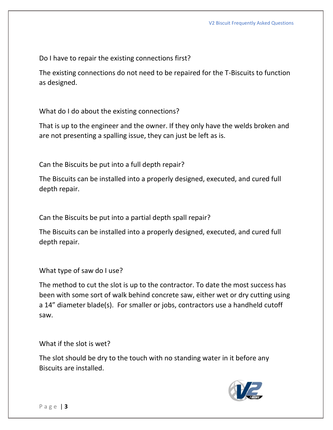Do I have to repair the existing connections first?

The existing connections do not need to be repaired for the T-Biscuits to function as designed.

What do I do about the existing connections?

That is up to the engineer and the owner. If they only have the welds broken and are not presenting a spalling issue, they can just be left as is.

Can the Biscuits be put into a full depth repair?

The Biscuits can be installed into a properly designed, executed, and cured full depth repair.

Can the Biscuits be put into a partial depth spall repair?

The Biscuits can be installed into a properly designed, executed, and cured full depth repair.

What type of saw do I use?

The method to cut the slot is up to the contractor. To date the most success has been with some sort of walk behind concrete saw, either wet or dry cutting using a 14" diameter blade(s). For smaller or jobs, contractors use a handheld cutoff saw.

What if the slot is wet?

The slot should be dry to the touch with no standing water in it before any Biscuits are installed.

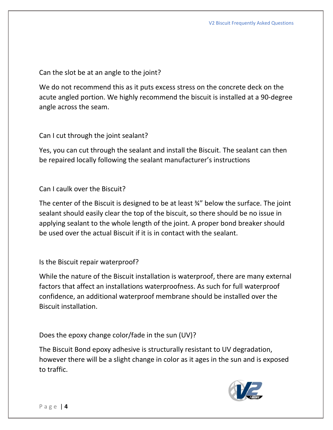Can the slot be at an angle to the joint?

We do not recommend this as it puts excess stress on the concrete deck on the acute angled portion. We highly recommend the biscuit is installed at a 90-degree angle across the seam.

Can I cut through the joint sealant?

Yes, you can cut through the sealant and install the Biscuit. The sealant can then be repaired locally following the sealant manufacturer's instructions

Can I caulk over the Biscuit?

The center of the Biscuit is designed to be at least ¾" below the surface. The joint sealant should easily clear the top of the biscuit, so there should be no issue in applying sealant to the whole length of the joint. A proper bond breaker should be used over the actual Biscuit if it is in contact with the sealant.

Is the Biscuit repair waterproof?

While the nature of the Biscuit installation is waterproof, there are many external factors that affect an installations waterproofness. As such for full waterproof confidence, an additional waterproof membrane should be installed over the Biscuit installation.

Does the epoxy change color/fade in the sun (UV)?

The Biscuit Bond epoxy adhesive is structurally resistant to UV degradation, however there will be a slight change in color as it ages in the sun and is exposed to traffic.

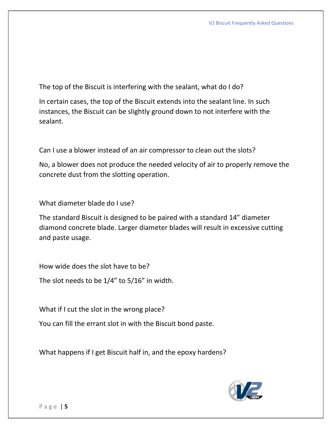The top of the Biscuit is interfering with the sealant, what do I do?

In certain cases, the top of the Biscuit extends into the sealant line. In such instances, the Biscuit can be slightly ground down to not interfere with the sealant.

Can I use a blower instead of an air compressor to clean out the slots?

No, a blower does not produce the needed velocity of air to properly remove the concrete dust from the slotting operation.

What diameter blade do I use?

The standard Biscuit is designed to be paired with a standard 14" diameter diamond concrete blade. Larger diameter blades will result in excessive cutting and paste usage.

How wide does the slot have to be?

The slot needs to be 1/4" to 5/16" in width.

What if I cut the slot in the wrong place?

You can fill the errant slot in with the Biscuit bond paste.

What happens if I get Biscuit half in, and the epoxy hardens?

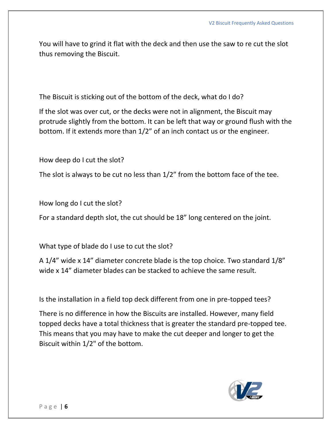You will have to grind it flat with the deck and then use the saw to re cut the slot thus removing the Biscuit.

The Biscuit is sticking out of the bottom of the deck, what do I do?

If the slot was over cut, or the decks were not in alignment, the Biscuit may protrude slightly from the bottom. It can be left that way or ground flush with the bottom. If it extends more than 1/2" of an inch contact us or the engineer.

How deep do I cut the slot?

The slot is always to be cut no less than 1/2" from the bottom face of the tee.

How long do I cut the slot?

For a standard depth slot, the cut should be 18" long centered on the joint.

What type of blade do I use to cut the slot?

A 1/4" wide x 14" diameter concrete blade is the top choice. Two standard 1/8" wide x 14" diameter blades can be stacked to achieve the same result.

Is the installation in a field top deck different from one in pre-topped tees?

There is no difference in how the Biscuits are installed. However, many field topped decks have a total thickness that is greater the standard pre-topped tee. This means that you may have to make the cut deeper and longer to get the Biscuit within 1/2" of the bottom.

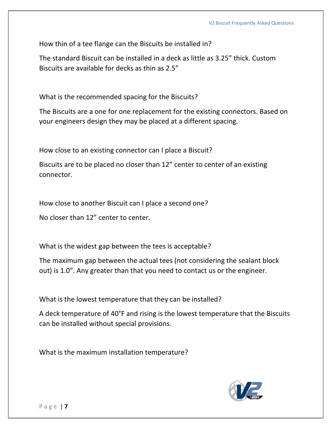How thin of a tee flange can the Biscuits be installed in?

The standard Biscuit can be installed in a deck as little as 3.25" thick. Custom Biscuits are available for decks as thin as 2.5"

What is the recommended spacing for the Biscuits?

The Biscuits are a one for one replacement for the existing connectors. Based on your engineers design they may be placed at a different spacing.

How close to an existing connector can I place a Biscuit?

Biscuits are to be placed no closer than 12" center to center of an existing connector.

How close to another Biscuit can I place a second one?

No closer than 12" center to center.

What is the widest gap between the tees is acceptable?

The maximum gap between the actual tees (not considering the sealant block out) is 1.0". Any greater than that you need to contact us or the engineer.

What is the lowest temperature that they can be installed?

A deck temperature of 40°F and rising is the lowest temperature that the Biscuits can be installed without special provisions.

What is the maximum installation temperature?

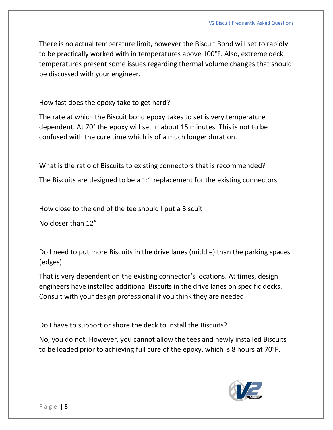There is no actual temperature limit, however the Biscuit Bond will set to rapidly to be practically worked with in temperatures above 100°F. Also, extreme deck temperatures present some issues regarding thermal volume changes that should be discussed with your engineer.

How fast does the epoxy take to get hard?

The rate at which the Biscuit bond epoxy takes to set is very temperature dependent. At 70° the epoxy will set in about 15 minutes. This is not to be confused with the cure time which is of a much longer duration.

What is the ratio of Biscuits to existing connectors that is recommended?

The Biscuits are designed to be a 1:1 replacement for the existing connectors.

How close to the end of the tee should I put a Biscuit

No closer than 12"

Do I need to put more Biscuits in the drive lanes (middle) than the parking spaces (edges)

That is very dependent on the existing connector's locations. At times, design engineers have installed additional Biscuits in the drive lanes on specific decks. Consult with your design professional if you think they are needed.

Do I have to support or shore the deck to install the Biscuits?

No, you do not. However, you cannot allow the tees and newly installed Biscuits to be loaded prior to achieving full cure of the epoxy, which is 8 hours at 70°F.

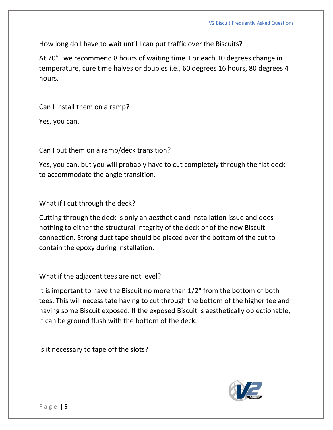How long do I have to wait until I can put traffic over the Biscuits?

At 70°F we recommend 8 hours of waiting time. For each 10 degrees change in temperature, cure time halves or doubles i.e., 60 degrees 16 hours, 80 degrees 4 hours.

Can I install them on a ramp?

Yes, you can.

Can I put them on a ramp/deck transition?

Yes, you can, but you will probably have to cut completely through the flat deck to accommodate the angle transition.

What if I cut through the deck?

Cutting through the deck is only an aesthetic and installation issue and does nothing to either the structural integrity of the deck or of the new Biscuit connection. Strong duct tape should be placed over the bottom of the cut to contain the epoxy during installation.

What if the adjacent tees are not level?

It is important to have the Biscuit no more than 1/2" from the bottom of both tees. This will necessitate having to cut through the bottom of the higher tee and having some Biscuit exposed. If the exposed Biscuit is aesthetically objectionable, it can be ground flush with the bottom of the deck.

Is it necessary to tape off the slots?

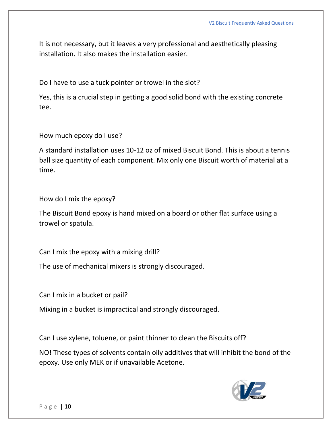It is not necessary, but it leaves a very professional and aesthetically pleasing installation. It also makes the installation easier.

Do I have to use a tuck pointer or trowel in the slot?

Yes, this is a crucial step in getting a good solid bond with the existing concrete tee.

How much epoxy do I use?

A standard installation uses 10-12 oz of mixed Biscuit Bond. This is about a tennis ball size quantity of each component. Mix only one Biscuit worth of material at a time.

How do I mix the epoxy?

The Biscuit Bond epoxy is hand mixed on a board or other flat surface using a trowel or spatula.

Can I mix the epoxy with a mixing drill?

The use of mechanical mixers is strongly discouraged.

Can I mix in a bucket or pail?

Mixing in a bucket is impractical and strongly discouraged.

Can I use xylene, toluene, or paint thinner to clean the Biscuits off?

NO! These types of solvents contain oily additives that will inhibit the bond of the epoxy. Use only MEK or if unavailable Acetone.